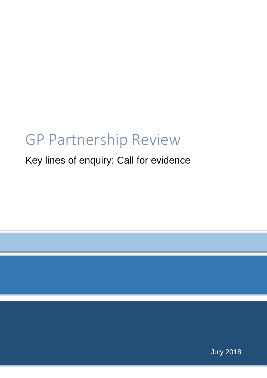## GP Partnership Review

### Key lines of enquiry: Call for evidence

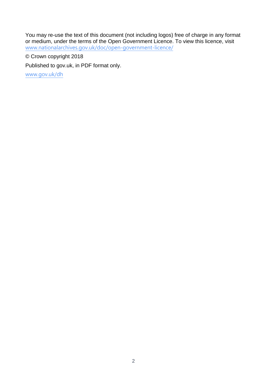You may re-use the text of this document (not including logos) free of charge in any format or medium, under the terms of the Open Government Licence. To view this licence, visit [www.nationalarchives.gov.uk/doc/open-government-licence/](http://www.nationalarchives.gov.uk/doc/open-government-licence/)

© Crown copyright 2018

Published to gov.uk, in PDF format only.

[www.gov.uk/dh](http://www.gov.uk/dh)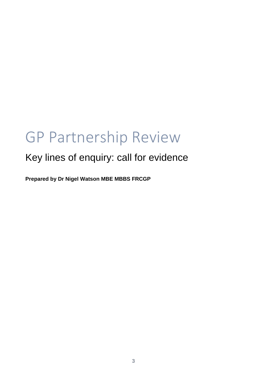# GP Partnership Review

### Key lines of enquiry: call for evidence

**Prepared by Dr Nigel Watson MBE MBBS FRCGP**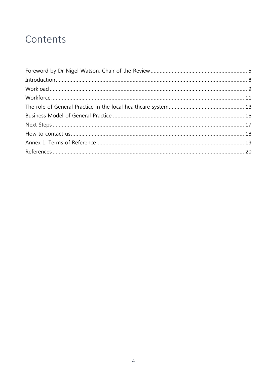### Contents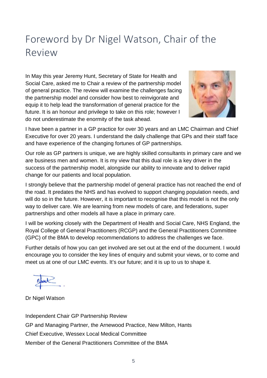## <span id="page-4-0"></span>Foreword by Dr Nigel Watson, Chair of the Review

In May this year Jeremy Hunt, Secretary of State for Health and Social Care, asked me to Chair a review of the partnership model of general practice. The review will examine the challenges facing the partnership model and consider how best to reinvigorate and equip it to help lead the transformation of general practice for the future. It is an honour and privilege to take on this role; however I do not underestimate the enormity of the task ahead.



I have been a partner in a GP practice for over 30 years and an LMC Chairman and Chief Executive for over 20 years. I understand the daily challenge that GPs and their staff face and have experience of the changing fortunes of GP partnerships.

Our role as GP partners is unique, we are highly skilled consultants in primary care and we are business men and women. It is my view that this dual role is a key driver in the success of the partnership model, alongside our ability to innovate and to deliver rapid change for our patients and local population.

I strongly believe that the partnership model of general practice has not reached the end of the road. It predates the NHS and has evolved to support changing population needs, and will do so in the future. However, it is important to recognise that this model is not the only way to deliver care. We are learning from new models of care, and federations, super partnerships and other models all have a place in primary care.

I will be working closely with the Department of Health and Social Care, NHS England, the Royal College of General Practitioners (RCGP) and the General Practitioners Committee (GPC) of the BMA to develop recommendations to address the challenges we face.

Further details of how you can get involved are set out at the end of the document. I would encourage you to consider the key lines of enquiry and submit your views, or to come and meet us at one of our LMC events. It's our future; and it is up to us to shape it.

Dr Nigel Watson

Independent Chair GP Partnership Review GP and Managing Partner, the Arnewood Practice, New Milton, Hants Chief Executive, Wessex Local Medical Committee Member of the General Practitioners Committee of the BMA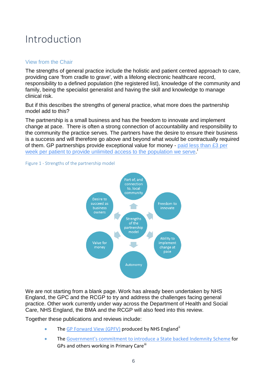### <span id="page-5-0"></span>Introduction

#### View from the Chair

The strengths of general practice include the holistic and patient centred approach to care, providing care 'from cradle to grave', with a lifelong electronic healthcare record, responsibility to a defined population (the registered list), knowledge of the community and family, being the specialist generalist and having the skill and knowledge to manage clinical risk.

But if this describes the strengths of general practice, what more does the partnership model add to this?

The partnership is a small business and has the freedom to innovate and implement change at pace. There is often a strong connection of accountability and responsibility to the community the practice serves. The partners have the desire to ensure their business is a success and will therefore go above and beyond what would be contractually required of them. GP partnerships provide exceptional value for money - [paid less than £3 per](https://digital.nhs.uk/data-and-information/publications/statistical/nhs-payments-to-general-practice/nhs-payments-to-general-practice-england-2016-17)  [week per patient to provide unlimited access to the population we serve.](https://digital.nhs.uk/data-and-information/publications/statistical/nhs-payments-to-general-practice/nhs-payments-to-general-practice-england-2016-17)





We are not starting from a blank page. Work has already been undertaken by NHS England, the GPC and the RCGP to try and address the challenges facing general practice. Other work currently under way across the Department of Health and Social Care, NHS England, the BMA and the RCGP will also feed into this review.

Together these publications and reviews include:

- The [GP Forward View \(GPFV\)](http://www.england.nhs.uk/gp/gpfv/) produced by NHS England<sup>[ii](#page-19-1)</sup>
- The [Government's commitment to introduce a State backed Indemnity Scheme](http://www.gov.uk/government/news/gp-indemnity-development-of-state-backed-scheme-for-england) for GPs and others working in Primary Care<sup>[iii](#page-19-2)</sup>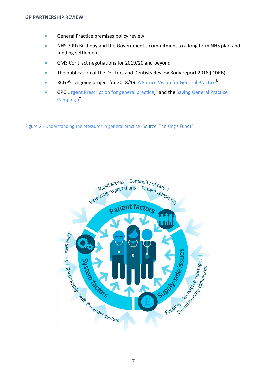- **•** General Practice premises policy review
- NHS 70th Birthday and the Government's commitment to a long term NHS plan and funding settlement
- GMS Contract negotiations for 2019/20 and beyond
- The publication of the Doctors and Dentists Review Body report 2018 (DDRB)
- RCGP's ongoing project for 2018/19 [A Future Vision for General Practice](http://www.rcgp.org.uk/policy/rcgp-policy-areas/general-practice-2022.aspx%20()<sup>[iv](#page-19-3)</sup>
- GPC [Urgent Prescription for general practice,](http://www.bma.org.uk/collective-voice/influence/key-negotiations/training-and-workforce/urgent-prescription-for-general-practice) and the Sa[v](#page-19-4)ing General Practice [Campaign](http://www.bma.org.uk/collective-voice/influence/key-negotiations/training-and-workforce/saving-general-practice)<sup>[vi](#page-19-5)</sup>

Figure 2 - [Understanding the pressures in general practice](http://www.kingsfund.org.uk/projects/pressures-in-general-practice) (Source: The King's Fund)<sup>[vii](#page-19-6)</sup>

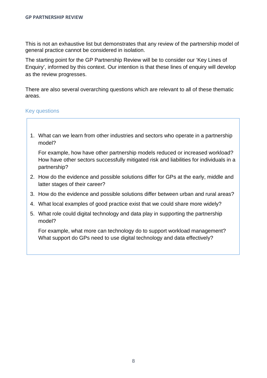This is not an exhaustive list but demonstrates that any review of the partnership model of general practice cannot be considered in isolation.

The starting point for the GP Partnership Review will be to consider our 'Key Lines of Enquiry', informed by this context. Our intention is that these lines of enquiry will develop as the review progresses.

There are also several overarching questions which are relevant to all of these thematic areas.

#### Key questions

1. What can we learn from other industries and sectors who operate in a partnership model?

For example, how have other partnership models reduced or increased workload? How have other sectors successfully mitigated risk and liabilities for individuals in a partnership?

- 2. How do the evidence and possible solutions differ for GPs at the early, middle and latter stages of their career?
- 3. How do the evidence and possible solutions differ between urban and rural areas?
- 4. What local examples of good practice exist that we could share more widely?
- 5. What role could digital technology and data play in supporting the partnership model?

For example, what more can technology do to support workload management? What support do GPs need to use digital technology and data effectively?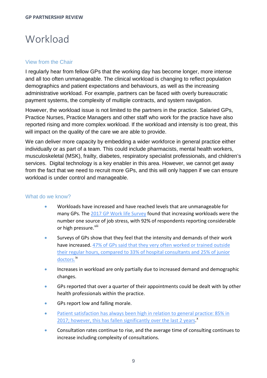### <span id="page-8-0"></span>Workload

#### View from the Chair

I regularly hear from fellow GPs that the working day has become longer, more intense and all too often unmanageable. The clinical workload is changing to reflect population demographics and patient expectations and behaviours, as well as the increasing administrative workload. For example, partners can be faced with overly bureaucratic payment systems, the complexity of multiple contracts, and system navigation.

However, the workload issue is not limited to the partners in the practice. Salaried GPs, Practice Nurses, Practice Managers and other staff who work for the practice have also reported rising and more complex workload. If the workload and intensity is too great, this will impact on the quality of the care we are able to provide.

We can deliver more capacity by embedding a wider workforce in general practice either individually or as part of a team. This could include pharmacists, mental health workers, musculoskeletal (MSK), frailty, diabetes, respiratory specialist professionals, and children's services. Digital technology is a key enabler in this area. However, we cannot get away from the fact that we need to recruit more GPs, and this will only happen if we can ensure workload is under control and manageable.

#### What do we know?

- Workloads have increased and have reached levels that are unmanageable for many GPs. The [2017 GP Work](http://blogs.lshtm.ac.uk/prucomm/files/2018/05/Ninth-National-GP-Worklife-Survey.pdf) life Survey found that increasing workloads were the number one source of job stress, with 92% of respondents reporting considerable or high pressure.<sup>[viii](#page-19-7)</sup>
- <span id="page-8-1"></span>• Surveys of GPs show that they feel that the intensity and demands of their work have increased. [47% of GPs said that they very often worked or trained outside](http://www.bma.org.uk/collective-voice/policy-and-research/education-training-and-workforce/quarterly-survey/quarterly-survey-results/quarterly-survey-q1-2018)  their regular [hours, compared to 33% of hospital consultants and 25% of junior](http://www.bma.org.uk/collective-voice/policy-and-research/education-training-and-workforce/quarterly-survey/quarterly-survey-results/quarterly-survey-q1-2018)  [doctors.](http://www.bma.org.uk/collective-voice/policy-and-research/education-training-and-workforce/quarterly-survey/quarterly-survey-results/quarterly-survey-q1-2018)<sup>[ix](#page-19-8)</sup>
- Increases in workload are only partially due to increased demand and demographic changes.
- GPs reported that over a quarter of their appointments could be dealt with by other health professionals within the practice.
- GPs report low and falling morale.
- [Patient satisfaction has always been high in relation to general practice](https://gp-patient.co.uk/surveysandreports): 85% in 2017; however, [this has fallen significantly over the last 2 years.](https://gp-patient.co.uk/surveysandreports)<sup>8</sup>
- Consultation rates continue to rise, and the average time of consulting continues to increase including complexity of consultations.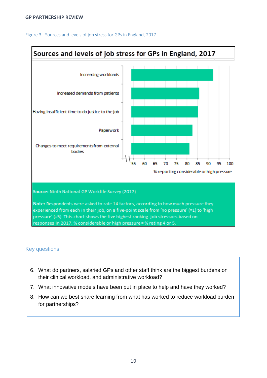#### **GP PARTNERSHIP REVIEW**

#### Figure 3 - Sources and levels of job stress for GPs in England, 2017



- 6. What do partners, salaried GPs and other staff think are the biggest burdens on their clinical workload, and administrative workload?
- 7. What innovative models have been put in place to help and have they worked?
- <span id="page-9-0"></span>8. How can we best share learning from what has worked to reduce workload burden for partnerships?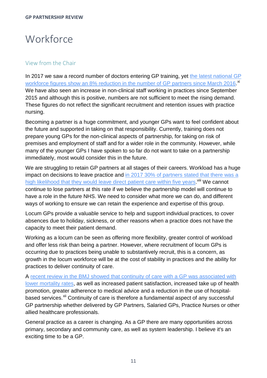### **Workforce**

#### View from the Chair

In 2017 we saw a record number of doctors entering GP training, yet [the latest national GP](https://digital.nhs.uk/data-and-information/publications/statistical/general-and-personal-medical-services/final-31-december-2017-and-provisional-31-march-2018-experimental-statistics)  workforce figures show an 8% [reduction in the number of GP partners since March 2016.](https://digital.nhs.uk/data-and-information/publications/statistical/general-and-personal-medical-services/final-31-december-2017-and-provisional-31-march-2018-experimental-statistics)<sup>[xi](#page-19-10)</sup> We have also seen an increase in non-clinical staff working in practices since September 2015 and although this is positive, numbers are not sufficient to meet the rising demand. These figures do not reflect the significant recruitment and retention issues with practice nursing.

Becoming a partner is a huge commitment, and younger GPs want to feel confident about the future and supported in taking on that responsibility. Currently, training does not prepare young GPs for the non-clinical aspects of partnership, for taking on risk of premises and employment of staff and for a wider role in the community. However, while many of the younger GPs I have spoken to so far do not want to take on a partnership immediately, most would consider this in the future.

We are struggling to retain GP partners at all stages of their careers. Workload has a huge impact on decisions to leave practice and [in 2017 30% of partners stated that there was a](http://blogs.lshtm.ac.uk/prucomm/files/2018/05/Ninth-National-GP-Worklife-Survey.pdf)  [high likelihood that they would leave direct](http://blogs.lshtm.ac.uk/prucomm/files/2018/05/Ninth-National-GP-Worklife-Survey.pdf) patient care within five years.<sup>[viii](#page-8-1)</sup> We cannot continue to lose partners at this rate if we believe the partnership model will continue to have a role in the future NHS. We need to consider what more we can do, and different ways of working to ensure we can retain the experience and expertise of this group.

Locum GPs provide a valuable service to help and support individual practices, to cover absences due to holiday, sickness, or other reasons when a practice does not have the capacity to meet their patient demand.

Working as a locum can be seen as offering more flexibility, greater control of workload and offer less risk than being a partner. However, where recruitment of locum GPs is occurring due to practices being unable to substantively recruit, this is a concern, as growth in the locum workforce will be at the cost of stability in practices and the ability for practices to deliver continuity of care.

A [recent review in the BMJ showed that continuity of care with a GP was associated with](https://bmjopen.bmj.com/content/8/6/e021161)  [lower mortality rates,](https://bmjopen.bmj.com/content/8/6/e021161) as well as increased patient satisfaction, increased take up of health promotion, greater adherence to medical advice and a reduction in the use of hospitalbased services.<sup>[xii](#page-19-11)</sup> Continuity of care is therefore a fundamental aspect of any successful GP partnership whether delivered by GP Partners, Salaried GPs, Practice Nurses or other allied healthcare professionals.

General practice as a career is changing. As a GP there are many opportunities across primary, secondary and community care, as well as system leadership. I believe it's an exciting time to be a GP.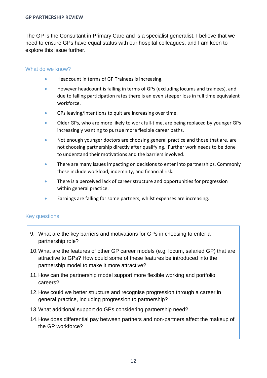The GP is the Consultant in Primary Care and is a specialist generalist. I believe that we need to ensure GPs have equal status with our hospital colleagues, and I am keen to explore this issue further.

#### What do we know?

- Headcount in terms of GP Trainees is increasing.
- However headcount is falling in terms of GPs (excluding locums and trainees), and due to falling participation rates there is an even steeper loss in full time equivalent workforce.
- GPs leaving/intentions to quit are increasing over time.
- Older GPs, who are more likely to work full-time, are being replaced by younger GPs increasingly wanting to pursue more flexible career paths.
- Not enough younger doctors are choosing general practice and those that are, are not choosing partnership directly after qualifying. Further work needs to be done to understand their motivations and the barriers involved.
- There are many issues impacting on decisions to enter into partnerships. Commonly these include workload, indemnity, and financial risk.
- There is a perceived lack of career structure and opportunities for progression within general practice.
- Earnings are falling for some partners, whilst expenses are increasing.

- 9. What are the key barriers and motivations for GPs in choosing to enter a partnership role?
- 10.What are the features of other GP career models (e.g. locum, salaried GP) that are attractive to GPs? How could some of these features be introduced into the partnership model to make it more attractive?
- 11.How can the partnership model support more flexible working and portfolio careers?
- 12.How could we better structure and recognise progression through a career in general practice, including progression to partnership?
- 13.What additional support do GPs considering partnership need?
- 14.How does differential pay between partners and non-partners affect the makeup of the GP workforce?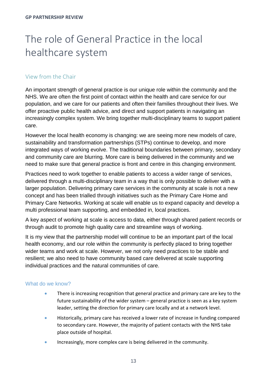## <span id="page-12-0"></span>The role of General Practice in the local healthcare system

#### View from the Chair

An important strength of general practice is our unique role within the community and the NHS. We are often the first point of contact within the health and care service for our population, and we care for our patients and often their families throughout their lives. We offer proactive public health advice, and direct and support patients in navigating an increasingly complex system. We bring together multi-disciplinary teams to support patient care.

However the local health economy is changing: we are seeing more new models of care, sustainability and transformation partnerships (STPs) continue to develop, and more integrated ways of working evolve. The traditional boundaries between primary, secondary and community care are blurring. More care is being delivered in the community and we need to make sure that general practice is front and centre in this changing environment.

Practices need to work together to enable patients to access a wider range of services, delivered through a multi-disciplinary team in a way that is only possible to deliver with a larger population. Delivering primary care services in the community at scale is not a new concept and has been trialled through initiatives such as the Primary Care Home and Primary Care Networks. Working at scale will enable us to expand capacity and develop a multi professional team supporting, and embedded in, local practices.

A key aspect of working at scale is access to data, either through shared patient records or through audit to promote high quality care and streamline ways of working.

It is my view that the partnership model will continue to be an important part of the local health economy, and our role within the community is perfectly placed to bring together wider teams and work at scale. However, we not only need practices to be stable and resilient; we also need to have community based care delivered at scale supporting individual practices and the natural communities of care.

#### What do we know?

- There is increasing recognition that general practice and primary care are key to the future sustainability of the wider system – general practice is seen as a key system leader, setting the direction for primary care locally and at a network level.
- Historically, primary care has received a lower rate of increase in funding compared to secondary care. However, the majority of patient contacts with the NHS take place outside of hospital.
- Increasingly, more complex care is being delivered in the community.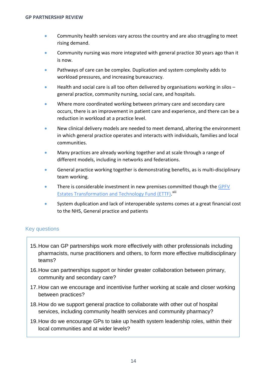- Community health services vary across the country and are also struggling to meet rising demand.
- Community nursing was more integrated with general practice 30 years ago than it is now.
- Pathways of care can be complex. Duplication and system complexity adds to workload pressures, and increasing bureaucracy.
- Health and social care is all too often delivered by organisations working in silos general practice, community nursing, social care, and hospitals.
- Where more coordinated working between primary care and secondary care occurs, there is an improvement in patient care and experience, and there can be a reduction in workload at a practice level.
- New clinical delivery models are needed to meet demand, altering the environment in which general practice operates and interacts with individuals, families and local communities.
- Many practices are already working together and at scale through a range of different models, including in networks and federations.
- General practice working together is demonstrating benefits, as is multi-disciplinary team working.
- There is considerable investment in new premises committed though the GPFV **[Estates Transformation and Technology Fund \(ETTF\).](http://www.england.nhs.uk/gp/gpfv/infrastructure/estates-technology/)** Xiii
- System duplication and lack of interoperable systems comes at a great financial cost to the NHS, General practice and patients

- 15.How can GP partnerships work more effectively with other professionals including pharmacists, nurse practitioners and others, to form more effective multidisciplinary teams?
- 16.How can partnerships support or hinder greater collaboration between primary, community and secondary care?
- 17.How can we encourage and incentivise further working at scale and closer working between practices?
- 18.How do we support general practice to collaborate with other out of hospital services, including community health services and community pharmacy?
- 19.How do we encourage GPs to take up health system leadership roles, within their local communities and at wider levels?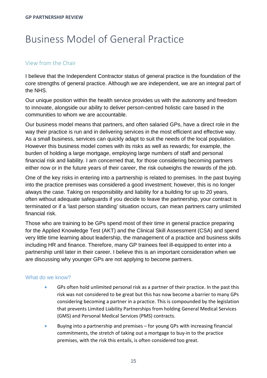### <span id="page-14-0"></span>Business Model of General Practice

#### View from the Chair

I believe that the Independent Contractor status of general practice is the foundation of the core strengths of general practice. Although we are independent, we are an integral part of the NHS.

Our unique position within the health service provides us with the autonomy and freedom to innovate, alongside our ability to deliver person-centred holistic care based in the communities to whom we are accountable.

Our business model means that partners, and often salaried GPs, have a direct role in the way their practice is run and in delivering services in the most efficient and effective way. As a small business, services can quickly adapt to suit the needs of the local population. However this business model comes with its risks as well as rewards; for example, the burden of holding a large mortgage, employing large numbers of staff and personal financial risk and liability. I am concerned that, for those considering becoming partners either now or in the future years of their career, the risk outweighs the rewards of the job.

One of the key risks in entering into a partnership is related to premises. In the past buying into the practice premises was considered a good investment; however, this is no longer always the case. Taking on responsibility and liability for a building for up to 20 years, often without adequate safeguards if you decide to leave the partnership, your contract is terminated or if a 'last person standing' situation occurs, can mean partners carry unlimited financial risk.

Those who are training to be GPs spend most of their time in general practice preparing for the Applied Knowledge Test (AKT) and the Clinical Skill Assessment (CSA) and spend very little time learning about leadership, the management of a practice and business skills including HR and finance. Therefore, many GP trainees feel ill-equipped to enter into a partnership until later in their career. I believe this is an important consideration when we are discussing why younger GPs are not applying to become partners.

#### What do we know?

- GPs often hold unlimited personal risk as a partner of their practice. In the past this risk was not considered to be great but this has now become a barrier to many GPs considering becoming a partner in a practice. This is compounded by the legislation that prevents Limited Liability Partnerships from holding General Medical Services (GMS) and Personal Medical Services (PMS) contracts.
- Buying into a partnership and premises for young GPs with increasing financial commitments, the stretch of taking out a mortgage to buy-in to the practice premises, with the risk this entails, is often considered too great.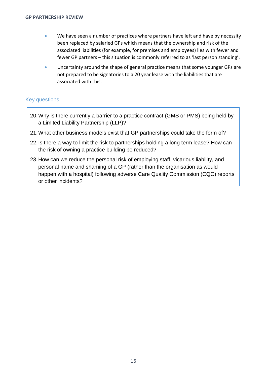- We have seen a number of practices where partners have left and have by necessity been replaced by salaried GPs which means that the ownership and risk of the associated liabilities (for example, for premises and employees) lies with fewer and fewer GP partners – this situation is commonly referred to as 'last person standing'.
- Uncertainty around the shape of general practice means that some younger GPs are not prepared to be signatories to a 20 year lease with the liabilities that are associated with this.

- 20.Why is there currently a barrier to a practice contract (GMS or PMS) being held by a Limited Liability Partnership (LLP)?
- 21.What other business models exist that GP partnerships could take the form of?
- 22.Is there a way to limit the risk to partnerships holding a long term lease? How can the risk of owning a practice building be reduced?
- 23.How can we reduce the personal risk of employing staff, vicarious liability, and personal name and shaming of a GP (rather than the organisation as would happen with a hospital) following adverse Care Quality Commission (CQC) reports or other incidents?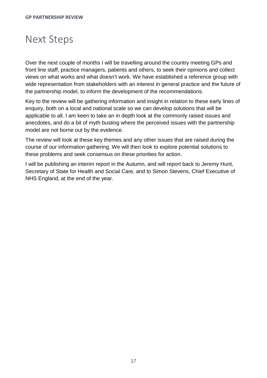### <span id="page-16-0"></span>Next Steps

Over the next couple of months I will be travelling around the country meeting GPs and front line staff, practice managers, patients and others, to seek their opinions and collect views on what works and what doesn't work. We have established a reference group with wide representation from stakeholders with an interest in general practice and the future of the partnership model, to inform the development of the recommendations.

Key to the review will be gathering information and insight in relation to these early lines of enquiry, both on a local and national scale so we can develop solutions that will be applicable to all. I am keen to take an in depth look at the commonly raised issues and anecdotes, and do a bit of myth busting where the perceived issues with the partnership model are not borne out by the evidence.

The review will look at these key themes and any other issues that are raised during the course of our information gathering. We will then look to explore potential solutions to these problems and seek consensus on these priorities for action.

I will be publishing an interim report in the Autumn, and will report back to Jeremy Hunt, Secretary of State for Health and Social Care, and to Simon Stevens, Chief Executive of NHS England, at the end of the year.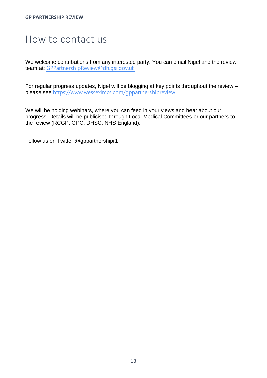### <span id="page-17-0"></span>How to contact us

We welcome contributions from any interested party. You can email Nigel and the review team at: [GPPartnershipReview@dh.gsi.gov.uk](mailto:GPPartnershipReview@dh.gsi.gov.uk)

For regular progress updates, Nigel will be blogging at key points throughout the review – please see <https://www.wessexlmcs.com/gppartnershipreview>

We will be holding webinars, where you can feed in your views and hear about our progress. Details will be publicised through Local Medical Committees or our partners to the review (RCGP, GPC, DHSC, NHS England).

Follow us on Twitter @gppartnershipr1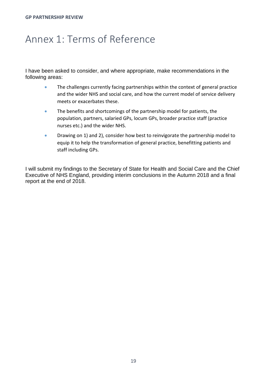### <span id="page-18-0"></span>Annex 1: Terms of Reference

I have been asked to consider, and where appropriate, make recommendations in the following areas:

- The challenges currently facing partnerships within the context of general practice and the wider NHS and social care, and how the current model of service delivery meets or exacerbates these.
- The benefits and shortcomings of the partnership model for patients, the population, partners, salaried GPs, locum GPs, broader practice staff (practice nurses etc.) and the wider NHS.
- Drawing on 1) and 2), consider how best to reinvigorate the partnership model to equip it to help the transformation of general practice, benefitting patients and staff including GPs.

<span id="page-18-1"></span>I will submit my findings to the Secretary of State for Health and Social Care and the Chief Executive of NHS England, providing interim conclusions in the Autumn 2018 and a final report at the end of 2018.